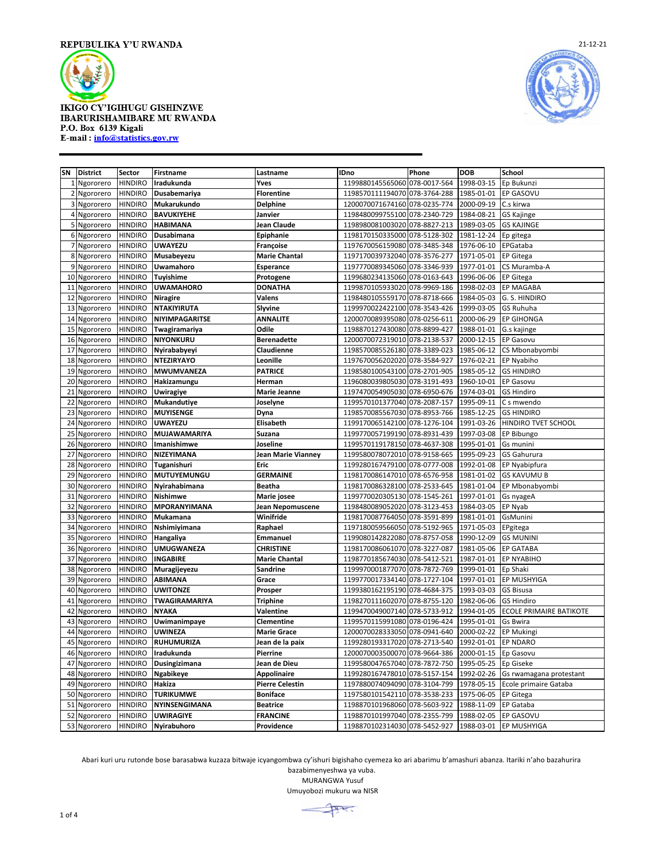



| SN | <b>District</b> | Sector         | <b>Firstname</b>    | Lastname               | <b>IDno</b>                   | Phone        | <b>DOB</b> | School                  |
|----|-----------------|----------------|---------------------|------------------------|-------------------------------|--------------|------------|-------------------------|
|    | 1 Ngororero     | <b>HINDIRO</b> | Iradukunda          | Yves                   | 1199880145565060              | 078-0017-564 | 1998-03-15 | Ep Bukunzi              |
|    | 2 Ngororero     | <b>HINDIRO</b> | Dusabemariya        | <b>Florentine</b>      | 1198570111194070              | 078-3764-288 | 1985-01-01 | EP GASOVU               |
|    | 3 Ngororero     | <b>HINDIRO</b> | Mukarukundo         | <b>Delphine</b>        | 1200070071674160 078-0235-774 |              | 2000-09-19 | C.s kirwa               |
|    | 4 Ngororero     | <b>HINDIRO</b> | <b>BAVUKIYEHE</b>   | Janvier                | 1198480099755100 078-2340-729 |              | 1984-08-21 | <b>GS Kajinge</b>       |
|    | 5 Ngororero     | <b>HINDIRO</b> | <b>HABIMANA</b>     | Jean Claude            | 1198980081003020              | 078-8827-213 | 1989-03-05 | <b>GS KAJINGE</b>       |
|    | 6 Ngororero     | <b>HINDIRO</b> | Dusabimana          | Epiphanie              | 1198170150335000              | 078-5128-302 | 1981-12-24 | Ep gitega               |
|    | 7 Ngororero     | <b>HINDIRO</b> | <b>UWAYEZU</b>      | Françoise              | 1197670056159080              | 078-3485-348 | 1976-06-10 | EPGataba                |
|    | 8 Ngororero     | <b>HINDIRO</b> | Musabeyezu          | <b>Marie Chantal</b>   | 1197170039732040 078-3576-277 |              | 1971-05-01 | <b>EP Gitega</b>        |
|    | 9 Ngororero     | <b>HINDIRO</b> | Uwamahoro           | Esperance              | 1197770089345060 078-3346-939 |              | 1977-01-01 | CS Muramba-A            |
| 10 | Ngororero       | <b>HINDIRO</b> | <b>Tuyishime</b>    | Protogene              | 1199680234135060              | 078-0163-643 | 1996-06-06 | <b>EP Gitega</b>        |
| 11 | Ngororero       | <b>HINDIRO</b> | <b>UWAMAHORO</b>    | <b>DONATHA</b>         | 1199870105933020              | 078-9969-186 | 1998-02-03 | EP MAGABA               |
| 12 | Ngororero       | <b>HINDIRO</b> | <b>Niragire</b>     | Valens                 | 1198480105559170 078-8718-666 |              | 1984-05-03 | G. S. HINDIRO           |
|    | 13 Ngororero    | <b>HINDIRO</b> | <b>NTAKIYIRUTA</b>  | Slyvine                | 1199970022422100              | 078-3543-426 | 1999-03-05 | GS Ruhuha               |
| 14 | Ngororero       | <b>HINDIRO</b> | NIYIMPAGARITSE      | <b>ANNALITE</b>        | 1200070089395080              | 078-0256-611 | 2000-06-29 | <b>EP GIHONGA</b>       |
| 15 | Ngororero       | <b>HINDIRO</b> | Twagiramariya       | Odile                  | 1198870127430080              | 078-8899-427 | 1988-01-01 | G.s kajinge             |
|    | 16 Ngororero    | <b>HINDIRO</b> | <b>NIYONKURU</b>    | <b>Berenadette</b>     | 1200070072319010 078-2138-537 |              | 2000-12-15 | EP Gasovu               |
| 17 | Ngororero       | <b>HINDIRO</b> | Nyirababyeyi        | Claudienne             | 1198570085526180 078-3389-023 |              | 1985-06-12 | CS Mbonabyombi          |
| 18 | Ngororero       | <b>HINDIRO</b> | <b>NTEZIRYAYO</b>   | Leonille               | 1197670056202020              | 078-3584-927 | 1976-02-21 | EP Nyabiho              |
| 19 | Ngororero       | <b>HINDIRO</b> | MWUMVANEZA          | <b>PATRICE</b>         | 1198580100543100              | 078-2701-905 | 1985-05-12 | <b>GS HINDIRO</b>       |
|    | 20 Ngororero    | <b>HINDIRO</b> | Hakizamungu         | Herman                 | 1196080039805030 078-3191-493 |              | 1960-10-01 | EP Gasovu               |
| 21 | Ngororero       | <b>HINDIRO</b> | Uwiragiye           | <b>Marie Jeanne</b>    | 1197470054905030 078-6950-676 |              | 1974-03-01 | <b>GS Hindiro</b>       |
| 22 | Ngororero       | <b>HINDIRO</b> | Mukandutiye         | Joselyne               | 1199570101377040              | 078-2087-157 | 1995-09-11 | C s mwendo              |
| 23 | Ngororero       | <b>HINDIRO</b> | <b>MUYISENGE</b>    | Dyna                   | 1198570085567030              | 078-8953-766 | 1985-12-25 | <b>GS HINDIRO</b>       |
| 24 | Ngororero       | <b>HINDIRO</b> | <b>UWAYEZU</b>      | Elisabeth              | 1199170065142100              | 078-1276-104 | 1991-03-26 | HINDIRO TVET SCHOOL     |
| 25 | Ngororero       | <b>HINDIRO</b> | MUJAWAMARIYA        | Suzana                 | 1199770057199190 078-8931-439 |              | 1997-03-08 | EP Bibungo              |
|    | 26 Ngororero    | <b>HINDIRO</b> | Imanishimwe         | Joseline               | 1199570119178150 078-4637-308 |              | 1995-01-01 | Gs munini               |
| 27 | Ngororero       | <b>HINDIRO</b> | NIZEYIMANA          | Jean Marie Vianney     | 1199580078072010              | 078-9158-665 | 1995-09-23 | GS Gahurura             |
| 28 | Ngororero       | <b>HINDIRO</b> | Tuganishuri         | Eric                   | 1199280167479100 078-0777-008 |              | 1992-01-08 | EP Nyabipfura           |
| 29 | Ngororero       | <b>HINDIRO</b> | MUTUYEMUNGU         | <b>GERMAINE</b>        | 1198170086147010 078-6576-958 |              | 1981-01-02 | <b>GS KAVUMU B</b>      |
|    | 30 Ngororero    | <b>HINDIRO</b> | Nyirahabimana       | <b>Beatha</b>          | 1198170086328100 078-2533-645 |              | 1981-01-04 | EP Mbonabyombi          |
| 31 | Ngororero       | <b>HINDIRO</b> | <b>Nishimwe</b>     | Marie josee            | 1199770020305130              | 078-1545-261 | 1997-01-01 | Gs nyageA               |
| 32 | Ngororero       | <b>HINDIRO</b> | <b>MPORANYIMANA</b> | Jean Nepomuscene       | 1198480089052020              | 078-3123-453 | 1984-03-05 | EP Nyab                 |
| 33 | Ngororero       | <b>HINDIRO</b> | <b>Mukamana</b>     | Winifride              | 1198170087764050              | 078-3591-899 | 1981-01-01 | GsMunini                |
| 34 | Ngororero       | <b>HINDIRO</b> | Nshimiyimana        | Raphael                | 1197180059566050 078-5192-965 |              | 1971-05-03 | EPgitega                |
| 35 | Ngororero       | <b>HINDIRO</b> | Hangaliya           | <b>Emmanuel</b>        | 1199080142822080              | 078-8757-058 | 1990-12-09 | <b>GS MUNINI</b>        |
| 36 | Ngororero       | <b>HINDIRO</b> | <b>UMUGWANEZA</b>   | <b>CHRISTINE</b>       | 1198170086061070 078-3227-087 |              | 1981-05-06 | <b>EP GATABA</b>        |
| 37 | Ngororero       | <b>HINDIRO</b> | <b>INGABIRE</b>     | <b>Marie Chantal</b>   | 1198770185674030 078-5412-521 |              | 1987-01-01 | EP NYABIHO              |
| 38 | Ngororero       | <b>HINDIRO</b> | Muragijeyezu        | Sandrine               | 1199970001877070 078-7872-769 |              | 1999-01-01 | Ep Shaki                |
| 39 | Ngororero       | <b>HINDIRO</b> | <b>ABIMANA</b>      | Grace                  | 1199770017334140 078-1727-104 |              | 1997-01-01 | EP MUSHYIGA             |
| 40 | Ngororero       | <b>HINDIRO</b> | <b>UWITONZE</b>     | Prosper                | 1199380162195190              | 078-4684-375 | 1993-03-03 | <b>GS Bisusa</b>        |
| 41 | Ngororero       | <b>HINDIRO</b> | TWAGIRAMARIYA       | <b>Triphine</b>        | 1198270111602070              | 078-8755-120 | 1982-06-06 | <b>GS Hindiro</b>       |
| 42 | Ngororero       | <b>HINDIRO</b> | <b>NYAKA</b>        | Valentine              | 1199470049007140 078-5733-912 |              | 1994-01-05 | ECOLE PRIMAIRE BATIKOTE |
| 43 | Ngororero       | <b>HINDIRO</b> | Uwimanimpaye        | Clementine             | 1199570115991080 078-0196-424 |              | 1995-01-01 | Gs Bwira                |
| 44 | Ngororero       | <b>HINDIRO</b> | <b>UWINEZA</b>      | <b>Marie Grace</b>     | 1200070028333050              | 078-0941-640 | 2000-02-22 | <b>EP Mukingi</b>       |
| 45 | Ngororero       | <b>HINDIRO</b> | <b>RUHUMURIZA</b>   | Jean de la paix        | 1199280193317020              | 078-2713-540 | 1992-01-01 | <b>EP NDARO</b>         |
| 46 | Ngororero       | <b>HINDIRO</b> | Iradukunda          | Pierrine               | 1200070003500070 078-9664-386 |              | 2000-01-15 | Ep Gasovu               |
| 47 | Ngororero       | <b>HINDIRO</b> | Dusingizimana       | Jean de Dieu           | 1199580047657040 078-7872-750 |              | 1995-05-25 | Ep Giseke               |
| 48 | Ngororero       | <b>HINDIRO</b> | <b>Ngabikeye</b>    | <b>Appolinaire</b>     | 1199280167478010              | 078-5157-154 | 1992-02-26 | Gs rwamagana protestant |
| 49 | Ngororero       | <b>HINDIRO</b> | Hakiza              | <b>Pierre Celestin</b> | 1197880074094090 078-3104-799 |              | 1978-05-15 | Ecole primaire Gataba   |
|    | 50 Ngororero    | <b>HINDIRO</b> | <b>TURIKUMWE</b>    | <b>Boniface</b>        | 1197580101542110 078-3538-233 |              | 1975-06-05 | <b>EP Gitega</b>        |
| 51 | Ngororero       | <b>HINDIRO</b> | NYINSENGIMANA       | <b>Beatrice</b>        | 1198870101968060 078-5603-922 |              | 1988-11-09 | EP Gataba               |
|    | 52 Ngororero    | <b>HINDIRO</b> | <b>UWIRAGIYE</b>    | <b>FRANCINE</b>        | 1198870101997040 078-2355-799 |              | 1988-02-05 | EP GASOVU               |
|    | 53 Ngororero    | <b>HINDIRO</b> | Nyirabuhoro         | Providence             | 1198870102314030 078-5452-927 |              | 1988-03-01 | <b>EP MUSHYIGA</b>      |

Abari kuri uru rutonde bose barasabwa kuzaza bitwaje icyangombwa cy'ishuri bigishaho cyemeza ko ari abarimu b'amashuri abanza. Itariki n'aho bazahurira

bazabimenyeshwa ya vuba. MURANGWA Yusuf

Umuyobozi mukuru wa NISR

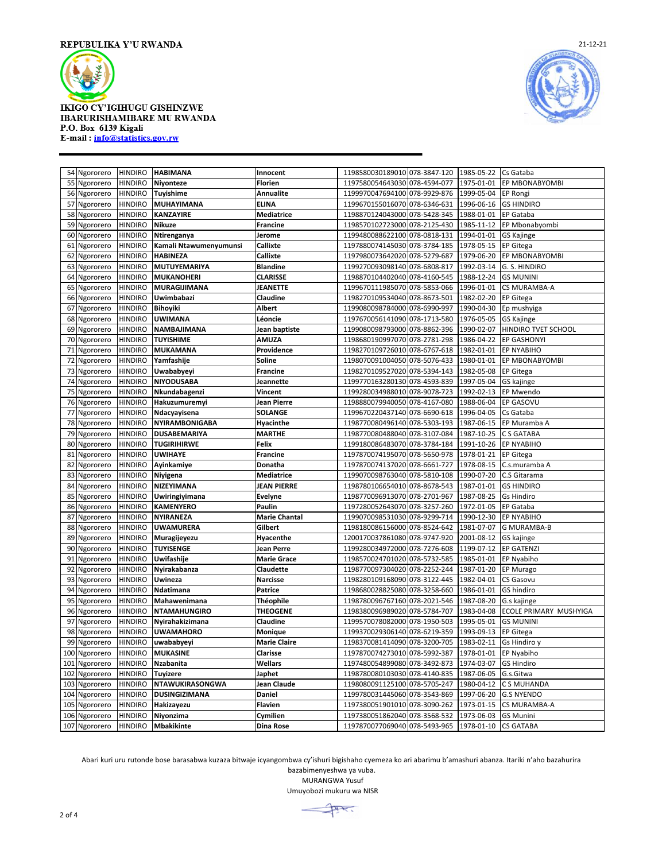



| Ngororero<br>54  | <b>HINDIRO</b> | <b>HABIMANA</b>        | Innocent             | 1198580030189010 078-3847-120 |              | 1985-05-22 | Cs Gataba              |
|------------------|----------------|------------------------|----------------------|-------------------------------|--------------|------------|------------------------|
| 55<br>Ngororero  | <b>HINDIRO</b> | Niyonteze              | <b>Florien</b>       | 1197580054643030 078-4594-077 |              | 1975-01-01 | EP MBONABYOMBI         |
| 56<br>Ngororero  | <b>HINDIRO</b> | Tuyishime              | Annualite            | 1199970047694100 078-9929-876 |              | 1999-05-04 | EP Rongi               |
| Ngororero<br>57  | <b>HINDIRO</b> | MUHAYIMANA             | <b>ELINA</b>         | 1199670155016070 078-6346-631 |              | 1996-06-16 | <b>GS HINDIRO</b>      |
| Ngororero<br>58  | <b>HINDIRO</b> | <b>KANZAYIRE</b>       | <b>Mediatrice</b>    | 1198870124043000 078-5428-345 |              | 1988-01-01 | EP Gataba              |
| 59<br>Ngororero  | <b>HINDIRO</b> | Nikuze                 | <b>Francine</b>      | 1198570102723000 078-2125-430 |              | 1985-11-12 | EP Mbonabyombi         |
| 60<br>Ngororero  | <b>HINDIRO</b> | Ntirenganya            | Jerome               | 1199480088622100 078-0818-131 |              | 1994-01-01 | <b>GS Kajinge</b>      |
| 61<br>Ngororero  | <b>HINDIRO</b> | Kamali Ntawumenyumunsi | Callixte             | 1197880074145030 078-3784-185 |              | 1978-05-15 | EP Gitega              |
| 62<br>Ngororero  | <b>HINDIRO</b> | HABINEZA               | Callixte             | 1197980073642020              | 078-5279-687 | 1979-06-20 | EP MBONABYOMBI         |
| Ngororero<br>63  | <b>HINDIRO</b> | MUTUYEMARIYA           | <b>Blandine</b>      | 1199270093098140 078-6808-817 |              | 1992-03-14 | G. S. HINDIRO          |
| 64<br>Ngororero  | <b>HINDIRO</b> | <b>MUKANOHERI</b>      | <b>CLARISSE</b>      | 1198870104402040 078-4160-545 |              | 1988-12-24 | <b>GS MUNINI</b>       |
| 65<br>Ngororero  | <b>HINDIRO</b> | MURAGIJIMANA           | <b>JEANETTE</b>      | 1199670111985070 078-5853-066 |              | 1996-01-01 | CS MURAMBA-A           |
| Ngororero<br>66  | <b>HINDIRO</b> | Uwimbabazi             | Claudine             | 1198270109534040 078-8673-501 |              | 1982-02-20 | EP Gitega              |
| 67<br>Ngororero  | <b>HINDIRO</b> | <b>Bihoyiki</b>        | Albert               | 1199080098784000 078-6990-997 |              | 1990-04-30 | Ep mushyiga            |
| 68<br>Ngororero  | <b>HINDIRO</b> | <b>UWIMANA</b>         | Léoncie              | 1197670056141090 078-1713-580 |              | 1976-05-05 | <b>GS Kajinge</b>      |
| 69<br>Ngororero  | <b>HINDIRO</b> | NAMBAJIMANA            | Jean baptiste        | 1199080098793000 078-8862-396 |              | 1990-02-07 | HINDIRO TVET SCHOOL    |
| 70<br>Ngororero  | <b>HINDIRO</b> | <b>TUYISHIME</b>       | AMUZA                | 1198680190997070              | 078-2781-298 | 1986-04-22 | <b>EP GASHONYI</b>     |
| 71<br>Ngororero  | <b>HINDIRO</b> | MUKAMANA               | Providence           | 1198270109726010 078-6767-618 |              | 1982-01-01 | EP NYABIHO             |
| 72<br>Ngororero  | <b>HINDIRO</b> | Yamfashije             | Soline               | 1198070091004050 078-5076-433 |              | 1980-01-01 | EP MBONABYOMBI         |
| 73<br>Ngororero  | <b>HINDIRO</b> | Uwababyeyi             | <b>Francine</b>      | 1198270109527020 078-5394-143 |              | 1982-05-08 | EP Gitega              |
| 74<br>Ngororero  | <b>HINDIRO</b> | NIYODUSABA             | Jeannette            | 1199770163280130 078-4593-839 |              | 1997-05-04 | GS kajinge             |
| 75<br>Ngororero  | <b>HINDIRO</b> | Nkundabagenzi          | <b>Vincent</b>       | 1199280034988010 078-9078-723 |              | 1992-02-13 | EP Mwendo              |
| Ngororero<br>76  | <b>HINDIRO</b> | Hakuzumuremyi          | <b>Jean Pierre</b>   | 1198880079940050 078-4167-080 |              | 1988-06-04 | EP GASOVU              |
| 77<br>Ngororero  | <b>HINDIRO</b> | Ndacyayisena           | <b>SOLANGE</b>       | 1199670220437140 078-6690-618 |              | 1996-04-05 | Cs Gataba              |
| 78<br>Ngororero  | <b>HINDIRO</b> | NYIRAMBONIGABA         | Hyacinthe            | 1198770080496140              | 078-5303-193 | 1987-06-15 | EP Muramba A           |
| 79<br>Ngororero  | <b>HINDIRO</b> | DUSABEMARIYA           | <b>MARTHE</b>        | 1198770080488040 078-3107-084 |              | 1987-10-25 | C S GATABA             |
| 80<br>Ngororero  | <b>HINDIRO</b> | <b>TUGIRIHIRWE</b>     | Felix                | 1199180086483070 078-3784-184 |              | 1991-10-26 | EP NYABIHO             |
| 81<br>Ngororero  | <b>HINDIRO</b> | <b>UWIHAYE</b>         | <b>Francine</b>      | 1197870074195070 078-5650-978 |              | 1978-01-21 | <b>EP Gitega</b>       |
| 82<br>Ngororero  | <b>HINDIRO</b> | Ayinkamiye             | Donatha              | 1197870074137020 078-6661-727 |              | 1978-08-15 | C.s.muramba A          |
| 83<br>Ngororero  | <b>HINDIRO</b> | Niyigena               | <b>Mediatrice</b>    | 1199070098763040 078-5810-108 |              | 1990-07-20 | C.S Gitarama           |
| 84<br>Ngororero  | <b>HINDIRO</b> | NIZEYIMANA             | <b>JEAN PIERRE</b>   | 1198780106654010 078-8678-543 |              | 1987-01-01 | <b>GS HINDIRO</b>      |
| 85<br>Ngororero  | <b>HINDIRO</b> | Uwiringiyimana         | <b>Evelyne</b>       | 1198770096913070 078-2701-967 |              | 1987-08-25 | Gs Hindiro             |
| Ngororero<br>86  | <b>HINDIRO</b> | <b>KAMENYERO</b>       | Paulin               | 1197280052643070 078-3257-260 |              | 1972-01-05 | EP Gataba              |
| Ngororero<br>87  | <b>HINDIRO</b> | NYIRANEZA              | <b>Marie Chantal</b> | 1199070098531030 078-9299-714 |              | 1990-12-30 | EP NYABIHO             |
| 88<br>Ngororero  | <b>HINDIRO</b> | <b>UWAMURERA</b>       | Gilbert              | 1198180086156000 078-8524-642 |              | 1981-07-07 | <b>G MURAMBA-B</b>     |
| 89<br>Ngororero  | <b>HINDIRO</b> | Muragijeyezu           | Hyacenthe            | 1200170037861080 078-9747-920 |              | 2001-08-12 | GS kajinge             |
| 90<br>Ngororero  | <b>HINDIRO</b> | <b>TUYISENGE</b>       | Jean Perre           | 1199280034972000 078-7276-608 |              | 1199-07-12 | EP GATENZI             |
| 91<br>Ngororero  | <b>HINDIRO</b> | Uwifashije             | <b>Marie Grace</b>   | 1198570024701020 078-5732-585 |              | 1985-01-01 | EP Nyabiho             |
| 92<br>Ngororero  | <b>HINDIRO</b> | Nyirakabanza           | Claudette            | 1198770097304020 078-2252-244 |              | 1987-01-20 | EP Murago              |
| 93<br>Ngororero  | <b>HINDIRO</b> | Uwineza                | <b>Narcisse</b>      | 1198280109168090 078-3122-445 |              | 1982-04-01 | <b>CS Gasovu</b>       |
| 94<br>Ngororero  | <b>HINDIRO</b> | Ndatimana              | Patrice              | 1198680028825080 078-3258-660 |              | 1986-01-01 | GS hindiro             |
| 95<br>Ngororero  | <b>HINDIRO</b> | Mahawenimana           | <b>Théophile</b>     | 1198780096767160 078-2021-546 |              | 1987-08-20 | G.s kajinge            |
| 96<br>Ngororero  | <b>HINDIRO</b> | <b>NTAMAHUNGIRO</b>    | <b>THEOGENE</b>      | 1198380096989020 078-5784-707 |              | 1983-04-08 | ECOLE PRIMARY MUSHYIGA |
| 97<br>Ngororero  | <b>HINDIRO</b> | Nyirahakizimana        | Claudine             | 1199570078082000 078-1950-503 |              | 1995-05-01 | <b>GS MUNINI</b>       |
| 98<br>Ngororero  | <b>HINDIRO</b> | <b>UWAMAHORO</b>       | Monique              | 1199370029306140 078-6219-359 |              | 1993-09-13 | EP Gitega              |
| 99<br>Ngororero  | <b>HINDIRO</b> | uwababyeyi             | <b>Marie Claire</b>  | 1198370081414090 078-3200-705 |              | 1983-02-11 | Gs Hindiro y           |
| 100<br>Ngororero | <b>HINDIRO</b> | <b>MUKASINE</b>        | <b>Clarisse</b>      | 1197870074273010 078-5992-387 |              | 1978-01-01 | EP Nyabiho             |
| 101<br>Ngororero | <b>HINDIRO</b> | Nzabanita              | Wellars              | 1197480054899080 078-3492-873 |              | 1974-03-07 | <b>GS Hindiro</b>      |
| 102<br>Ngororero | <b>HINDIRO</b> | <b>Tuyizere</b>        | Japhet               | 1198780080103030 078-4140-835 |              | 1987-06-05 | G.s.Gitwa              |
| 103<br>Ngororero | <b>HINDIRO</b> | NTAWUKIRASONGWA        | Jean Claude          | 1198080091125100 078-5705-247 |              | 1980-04-12 | C S MUHANDA            |
| 104 Ngororero    | <b>HINDIRO</b> | <b>DUSINGIZIMANA</b>   | <b>Daniel</b>        | 1199780031445060 078-3543-869 |              | 1997-06-20 | <b>G.S NYENDO</b>      |
| 105<br>Ngororero | <b>HINDIRO</b> | Hakizayezu             | Flavien              | 1197380051901010 078-3090-262 |              | 1973-01-15 | CS MURAMBA-A           |
| 106 Ngororero    | <b>HINDIRO</b> | Niyonzima              | Cymilien             | 1197380051862040 078-3568-532 |              | 1973-06-03 | <b>GS Munini</b>       |
| 107 Ngororero    | <b>HINDIRO</b> | <b>Mbakikinte</b>      | <b>Dina Rose</b>     | 1197870077069040 078-5493-965 |              | 1978-01-10 | <b>CS GATABA</b>       |
|                  |                |                        |                      |                               |              |            |                        |

Abari kuri uru rutonde bose barasabwa kuzaza bitwaje icyangombwa cy'ishuri bigishaho cyemeza ko ari abarimu b'amashuri abanza. Itariki n'aho bazahurira

bazabimenyeshwa ya vuba. MURANGWA Yusuf

Umuyobozi mukuru wa NISR

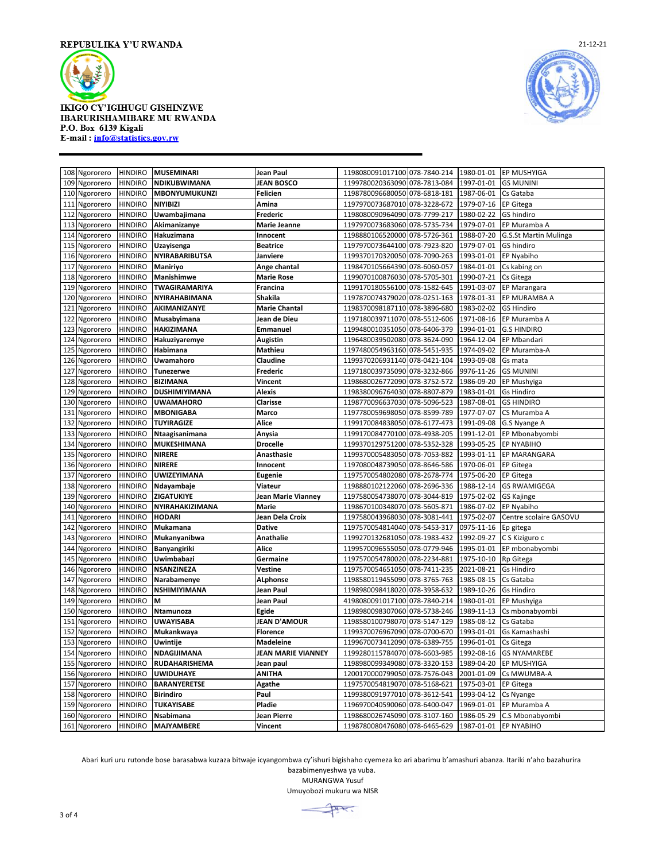



| 108 | Ngororero     | <b>HINDIRO</b> | <b>MUSEMINARI</b>     | Jean Paul                 | 1198080091017100 078-7840-214 |              | 1980-01-01 | EP MUSHYIGA            |
|-----|---------------|----------------|-----------------------|---------------------------|-------------------------------|--------------|------------|------------------------|
| 109 | Ngororero     | <b>HINDIRO</b> | NDIKUBWIMANA          | <b>JEAN BOSCO</b>         | 1199780020363090 078-7813-084 |              | 1997-01-01 | <b>GS MUNINI</b>       |
|     | 110 Ngororero | <b>HINDIRO</b> | MBONYUMUKUNZI         | Felicien                  | 1198780096680050 078-6818-181 |              | 1987-06-01 | Cs Gataba              |
|     | 111 Ngororero | <b>HINDIRO</b> | <b>NIYIBIZI</b>       | Amina                     | 1197970073687010 078-3228-672 |              | 1979-07-16 | <b>EP Gitega</b>       |
| 112 | Ngororero     | <b>HINDIRO</b> | Uwambajimana          | Frederic                  | 1198080090964090 078-7799-217 |              | 1980-02-22 | GS hindiro             |
| 113 | Ngororero     | <b>HINDIRO</b> | Akimanizanye          | <b>Marie Jeanne</b>       | 1197970073683060 078-5735-734 |              | 1979-07-01 | EP Muramba A           |
| 114 | Ngororero     | <b>HINDIRO</b> | Hakuzimana            | Innocent                  | 1198880106520000 078-5726-361 |              | 1988-07-20 | G.S.St Martin Mulinga  |
| 115 | Ngororero     | <b>HINDIRO</b> | Uzayisenga            | <b>Beatrice</b>           | 1197970073644100 078-7923-820 |              | 1979-07-01 | GS hindiro             |
| 116 | Ngororero     | <b>HINDIRO</b> | <b>NYIRABARIBUTSA</b> | Janviere                  | 1199370170320050              | 078-7090-263 | 1993-01-01 | EP Nyabiho             |
| 117 | Ngororero     | <b>HINDIRO</b> | Maniriyo              | Ange chantal              | 1198470105664390 078-6060-057 |              | 1984-01-01 | Cs kabing on           |
| 118 | Ngororero     | <b>HINDIRO</b> | Manishimwe            | <b>Marie Rose</b>         | 1199070100876030 078-5705-301 |              | 1990-07-21 | Cs Gitega              |
| 119 | Ngororero     | <b>HINDIRO</b> | TWAGIRAMARIYA         | Francina                  | 1199170180556100 078-1582-645 |              | 1991-03-07 | EP Marangara           |
| 120 | Ngororero     | <b>HINDIRO</b> | NYIRAHABIMANA         | Shakila                   | 1197870074379020 078-0251-163 |              | 1978-01-31 | EP MURAMBA A           |
| 121 | Ngororero     | <b>HINDIRO</b> | AKIMANIZANYE          | <b>Marie Chantal</b>      | 1198370098187110 078-3896-680 |              | 1983-02-02 | <b>GS Hindiro</b>      |
| 122 | Ngororero     | <b>HINDIRO</b> | Musabyimana           | Jean de Dieu              | 1197180039711070 078-5512-606 |              | 1971-08-16 | EP Muramba A           |
| 123 | Ngororero     | <b>HINDIRO</b> | <b>HAKIZIMANA</b>     | <b>Emmanuel</b>           | 1199480010351050 078-6406-379 |              | 1994-01-01 | <b>G.S HINDIRO</b>     |
| 124 | Ngororero     | <b>HINDIRO</b> | Hakuziyaremye         | Augistin                  | 1196480039502080              | 078-3624-090 | 1964-12-04 | EP Mbandari            |
| 125 | Ngororero     | <b>HINDIRO</b> | Habimana              | <b>Mathieu</b>            | 1197480054963160 078-5451-935 |              | 1974-09-02 | EP Muramba-A           |
| 126 | Ngororero     | <b>HINDIRO</b> | Uwamahoro             | Claudine                  | 1199370206931140 078-0421-104 |              | 1993-09-08 | Gs mata                |
| 127 | Ngororero     | <b>HINDIRO</b> | <b>Tunezerwe</b>      | Frederic                  | 1197180039735090 078-3232-866 |              | 9976-11-26 | <b>GS MUNINI</b>       |
| 128 | Ngororero     | <b>HINDIRO</b> | <b>BIZIMANA</b>       | Vincent                   | 1198680026772090 078-3752-572 |              | 1986-09-20 | EP Mushyiga            |
| 129 | Ngororero     | <b>HINDIRO</b> | DUSHIMIYIMANA         | <b>Alexis</b>             | 1198380096764030              | 078-8807-879 | 1983-01-01 | <b>Gs Hindiro</b>      |
| 130 | Ngororero     | <b>HINDIRO</b> | <b>UWAMAHORO</b>      | Clarisse                  | 1198770096637030 078-5096-523 |              | 1987-08-01 | <b>GS HINDIRO</b>      |
|     | 131 Ngororero | <b>HINDIRO</b> | <b>MBONIGABA</b>      | Marco                     | 1197780059698050 078-8599-789 |              | 1977-07-07 | CS Muramba A           |
| 132 | Ngororero     | <b>HINDIRO</b> | <b>TUYIRAGIZE</b>     | Alice                     | 1199170084838050              | 078-6177-473 | 1991-09-08 | G.S Nyange A           |
| 133 | Ngororero     | <b>HINDIRO</b> | Ntaagisanimana        | Anysia                    | 1199170084770100 078-4938-205 |              | 1991-12-01 | EP Mbonabyombi         |
| 134 | Ngororero     | <b>HINDIRO</b> | MUKESHIMANA           | <b>Drocelle</b>           | 1199370129751200 078-5352-328 |              | 1993-05-25 | EP NYABIHO             |
| 135 | Ngororero     | <b>HINDIRO</b> | <b>NIRERE</b>         | Anasthasie                | 1199370005483050 078-7053-882 |              | 1993-01-11 | EP MARANGARA           |
| 136 | Ngororero     | <b>HINDIRO</b> | <b>NIRERE</b>         | Innocent                  | 1197080048739050 078-8646-586 |              | 1970-06-01 | EP Gitega              |
| 137 | Ngororero     | <b>HINDIRO</b> | <b>UWIZEYIMANA</b>    | Eugenie                   | 1197570054802080 078-2678-774 |              | 1975-06-20 | <b>EP Gitega</b>       |
| 138 | Ngororero     | <b>HINDIRO</b> | Ndayambaje            | Viateur                   | 1198880102122060 078-2696-336 |              | 1988-12-14 | <b>GS RWAMIGEGA</b>    |
| 139 | Ngororero     | <b>HINDIRO</b> | ZIGATUKIYE            | Jean Marie Vianney        | 1197580054738070 078-3044-819 |              | 1975-02-02 | <b>GS Kajinge</b>      |
| 140 | Ngororero     | <b>HINDIRO</b> | NYIRAHAKIZIMANA       | Marie                     | 1198670100348070 078-5605-871 |              | 1986-07-02 | EP Nyabiho             |
| 141 | Ngororero     | <b>HINDIRO</b> | <b>HODARI</b>         | Jean Dela Croix           | 1197580043968030 078-3081-441 |              | 1975-02-07 | Centre scolaire GASOVU |
| 142 | Ngororero     | <b>HINDIRO</b> | Mukamana              | <b>Dative</b>             | 1197570054814040 078-5453-317 |              | 0975-11-16 | Ep gitega              |
| 143 | Ngororero     | <b>HINDIRO</b> | Mukanyanibwa          | Anathalie                 | 1199270132681050 078-1983-432 |              | 1992-09-27 | C S Kiziguro c         |
| 144 | Ngororero     | <b>HINDIRO</b> | Banyangiriki          | Alice                     | 1199570096555050 078-0779-946 |              | 1995-01-01 | EP mbonabyombi         |
| 145 | Ngororero     | <b>HINDIRO</b> | Uwimbabazi            | Germaine                  | 1197570054780020 078-2234-881 |              | 1975-10-10 | Rp Gitega              |
| 146 | Ngororero     | <b>HINDIRO</b> | <b>NSANZINEZA</b>     | Vestine                   | 1197570054651050 078-7411-235 |              | 2021-08-21 | <b>Gs Hindiro</b>      |
| 147 | Ngororero     | <b>HINDIRO</b> | Narabamenye           | <b>ALphonse</b>           | 1198580119455090 078-3765-763 |              | 1985-08-15 | Cs Gataba              |
| 148 | Ngororero     | <b>HINDIRO</b> | <b>NSHIMIYIMANA</b>   | Jean Paul                 | 1198980098418020 078-3958-632 |              | 1989-10-26 | <b>Gs Hindiro</b>      |
| 149 | Ngororero     | <b>HINDIRO</b> | M                     | Jean Paul                 | 4198080091017100 078-7840-214 |              | 1980-01-01 | EP Mushyiga            |
| 150 | Ngororero     | <b>HINDIRO</b> | Ntamunoza             | Egide                     | 1198980098307060 078-5738-246 |              | 1989-11-13 | Cs mbonabyombi         |
| 151 | Ngororero     | <b>HINDIRO</b> | <b>UWAYISABA</b>      | <b>JEAN D'AMOUR</b>       | 1198580100798070 078-5147-129 |              | 1985-08-12 | Cs Gataba              |
| 152 | Ngororero     | <b>HINDIRO</b> | Mukankwaya            | <b>Florence</b>           | 1199370076967090 078-0700-670 |              | 1993-01-01 | Gs Kamashashi          |
| 153 | Ngororero     | <b>HINDIRO</b> | <b>Uwintije</b>       | <b>Madeleine</b>          | 1199670073412090 078-6389-755 |              | 1996-01-01 | Cs Gitega              |
|     | 154 Ngororero | <b>HINDIRO</b> | NDAGIJIMANA           | <b>JEAN MARIE VIANNEY</b> | 1199280115784070 078-6603-985 |              | 1992-08-16 | <b>GS NYAMAREBE</b>    |
| 155 | Ngororero     | <b>HINDIRO</b> | RUDAHARISHEMA         | Jean paul                 | 1198980099349080 078-3320-153 |              | 1989-04-20 | EP MUSHYIGA            |
| 156 | Ngororero     | <b>HINDIRO</b> | <b>UWIDUHAYE</b>      | <b>ANITHA</b>             | 1200170000799050 078-7576-043 |              | 2001-01-09 | Cs MWUMBA-A            |
| 157 | Ngororero     | <b>HINDIRO</b> | <b>BARANYERETSE</b>   | Agathe                    | 1197570054819070 078-5168-621 |              | 1975-03-01 | <b>EP Gitega</b>       |
|     | 158 Ngororero | <b>HINDIRO</b> | <b>Birindiro</b>      | Paul                      | 1199380091977010 078-3612-541 |              | 1993-04-12 | Cs Nyange              |
| 159 | Ngororero     | <b>HINDIRO</b> | <b>TUKAYISABE</b>     | Pladie                    | 1196970040590060 078-6400-047 |              | 1969-01-01 | EP Muramba A           |
|     | 160 Ngororero | <b>HINDIRO</b> | Nsabimana             | <b>Jean Pierre</b>        | 1198680026745090 078-3107-160 |              | 1986-05-29 | C.S Mbonabyombi        |
|     | 161 Ngororero | <b>HINDIRO</b> | <b>MAJYAMBERE</b>     | <b>Vincent</b>            | 1198780080476080 078-6465-629 |              | 1987-01-01 | <b>EP NYABIHO</b>      |

Abari kuri uru rutonde bose barasabwa kuzaza bitwaje icyangombwa cy'ishuri bigishaho cyemeza ko ari abarimu b'amashuri abanza. Itariki n'aho bazahurira

bazabimenyeshwa ya vuba. MURANGWA Yusuf

Umuyobozi mukuru wa NISR